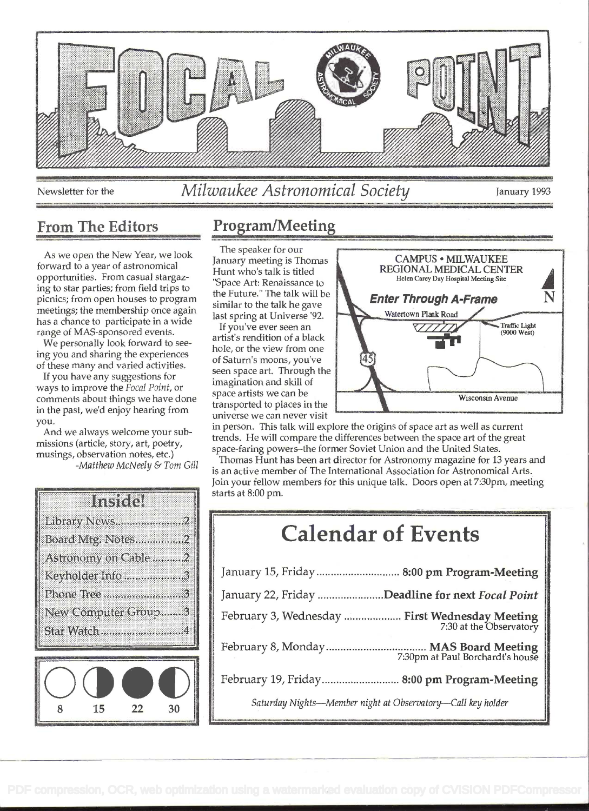

## Newsletter for the *Milwaukee Astronomical Society* January 1993

As we open the New Year, we look forward to a year of astronomical opportunities. From casual stargazing to star parties; from field trips to picnics; from open houses to program meetings; the membership once again has a chance to participate in a wide range of MAS-sponsored events.

We personally look forward to seeing you and sharing the experiences of these many and varied activities.

If you have any suggestions for ways to improve the Focal Point, or comments about things we have done in the past, we'd enjoy hearing from you.

And we always welcome your submissions (article, story, art, poetry, musings, observation notes, etc.) -Matthew McNeely & Tom Gill

| Inster               |
|----------------------|
| Library News2        |
| Board Mtg. Notes2    |
| Astronomy on Cable 2 |
| Keyholder Info3      |
|                      |
| New Computer Group3  |
| Star Watch 4         |
|                      |
|                      |

15

 $22$ 

30

### From The Editors Program/Meeting

The speaker for our January meeting is Thomas Hunt who's talk is titled "Space Art: Renaissance to the Future." The talk will be similar to the talk he gave last spring at Universe '92.

If you've ever seen an artist's rendition of a black hole, or the view from one of Saturn's moons, you've seen space art. Through the imagination and skill of space artists we can be transported to places in the universe we can never visit



in person. This talk will explore the origins of space art as well as current trends. He will compare the differences between the space art of the great space-faring powers-the former Soviet Union and the United States.

Thomas Hunt has been art director for Astronomy magazine for 13 years and is an active member of The International Association for Astronomical Arts. Join your fellow members for this unique talk. Doors open at 7:30pm, meeting starts at 8:00 pm.

# Calendar of Events

| January 15, Friday  8:00 pm Program-Meeting                               |  |
|---------------------------------------------------------------------------|--|
| January 22, Friday Deadline for next Focal Point                          |  |
| February 3, Wednesday  First Wednesday Meeting<br>7:30 at the Observatory |  |
|                                                                           |  |
| February 19, Friday 8:00 pm Program-Meeting                               |  |
| Saturday Nights-Member night at Observatory-Call key holder               |  |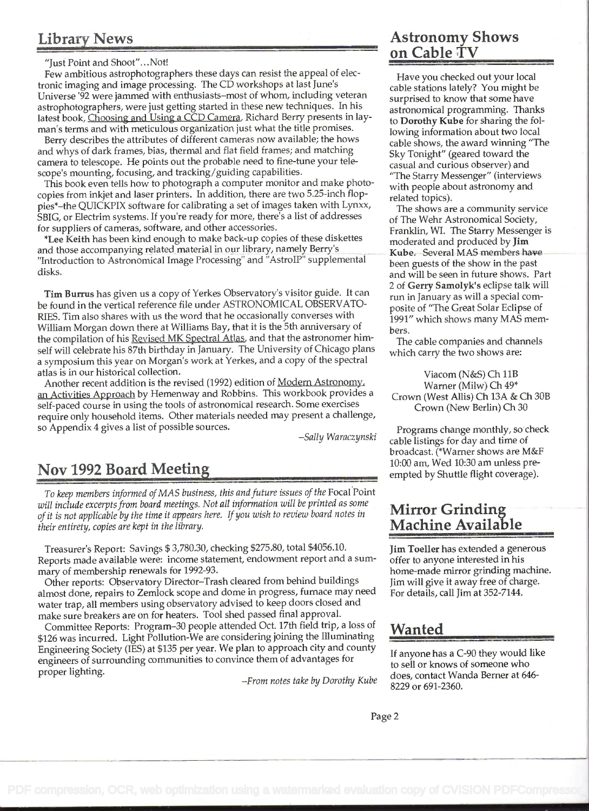#### Library News

"Just Point and Shoot"...Not!

Few ambitious astrophotographers these days can resist the appeal of electronic imaging and image processing. The CD workshops at last June's Universe '92 were jammed with enthusiasts-most of whom, including veteran astrophotographers, were just getting started in these new techniques. In his latest book, Choosing and Using a CCD Camera, Richard Berry presents in layman's terms and with meticulous organization just what the title promises.

Berry describes the attributes of different cameras now available; the hows and whys of dark frames, bias, thermal and flat field frames; and matching camera to telescope. He points out the probable need to fine-tune your telescope's mounting, focusing, and tracking/guiding capabilities.

This book even tells how to photograph a computer monitor and make photocopies from inkjet and laser printers. In addition, there are two 5.25-inch floppies\*\_the QUICKPIX software for calibrating a set of images taken with Lynxx, SBIG, or Electrim systems. If you're ready for more, there's a list of addresses for suppliers of cameras, software, and other accessories.

\*Lee Keith has been kind enough to make back-up copies of these diskettes and those accompanying related material in our library, namely Berry's "Introduction to Astronomical Image Processing" and "AstrolP" supplemental disks.

Tim Burrus has given us a copy of Yerkes Observatory's visitor guide. It can be found in the vertical reference file under ASTRONOMICAL OBSERVATO-RIES. Tim also shares with us the word that he occasionally converses with William Morgan down there at Williams Bay, that it is the 5th anniversary of the compilation of his Revised MK Spectral Atlas, and that the astronomer himself will celebrate his 87th birthday in January. The University of Chicago plans a symposium this year on Morgan's work at Yerkes, and a copy of the spectral atlas is in our historical collection.

Another recent addition is the revised (1992) edition of Modern Astronomy. an Activities Approach by Hemenway and Robbins. This workbook provides a self-paced course in using the tools of astronomical research. Some exercises require only household items. Other materials needed may present a challenge, so Appendix 4 gives a list of possible sources.

-Sally Waraczynski

#### Nov 1992 Board Meetin

To keep members informed of MAS business, this and future issues of the Focal Point will include excerpts from board meetings. Not all information will be printed as some of it is not applicable by the time it appears here. If you wish to review board notes in their entirety, copies are kept in the library.

Treasurer's Report: Savings \$ 3,780.30, checking \$275.80, total \$4056.10. Reports made available were: income statement, endowment report and a summary of membership renewals for 1992-93.

Other reports: Observatory Director-Trash cleared from behind buildings almost done, repairs to Zemlock scope and dome in progress, fumace may need water trap, all members using observatory advised to keep doors closed and make sure breakers are on for heaters. Tool shed passed final approval.

Committee Reports: Program-30 people attended Oct. 17th field trip, a loss of \$126 was incurred. Light Pollution-We are considering joining the Illuminating Engineering Society (lES) at \$135 per year. We plan to approach city and county engineers of surrounding communities to convince them of advantages for proper lighting.

-From notes take by Dorothy Kube

#### Astronomy Shows on Cable TV

Have you checked out your local cable stations lately? You might be surprised to know that some have astronomical programming. Thanks to Dorothy Kube for sharing the following information about two local cable shows, the award winning "The Sky Tonight" (geared toward the casual and curious observer) and "The Starry Messenger" (interviews with people about astronomy and related topics).

The shows are a community service of The Wehr Astronomical Society, Franklin, WI. The Starry Messenger is moderated and produced by Jim Kube. Several MAS members have been guests of the show in the past and will be seen in future shows. Part 2 of Gerry Samolyk's eclipse talk will run in January as will a special composite of "The Great Solar Eclipse of 1991" which shows many MAS members.

The cable companies and channels which carry the two shows are:

Viacom (N&S) Ch liB Warner (Milw) Ch 49\* Crown (West Allis) Ch 13A & Ch 30B Crown (New Berlin) Ch 30

Programs change monthly, so check cable listings for day and time of broadcast. (\*Wamer shows are M&F 10:00 am, Wed 10:30 am unless preempted by Shuttle flight coverage).

#### Mirror Grinding Machine Available

Jim Toeller has extended a generous offer to anyone interested in his home-made mirror grinding machine. Jim will give it away free of charge. For details, call Jim at 352-7144.

#### Wanted

If anyone has a C-90 they would like to sell or knows of someone who does, contact Wanda Berner at 646- 8229 or 691-2360.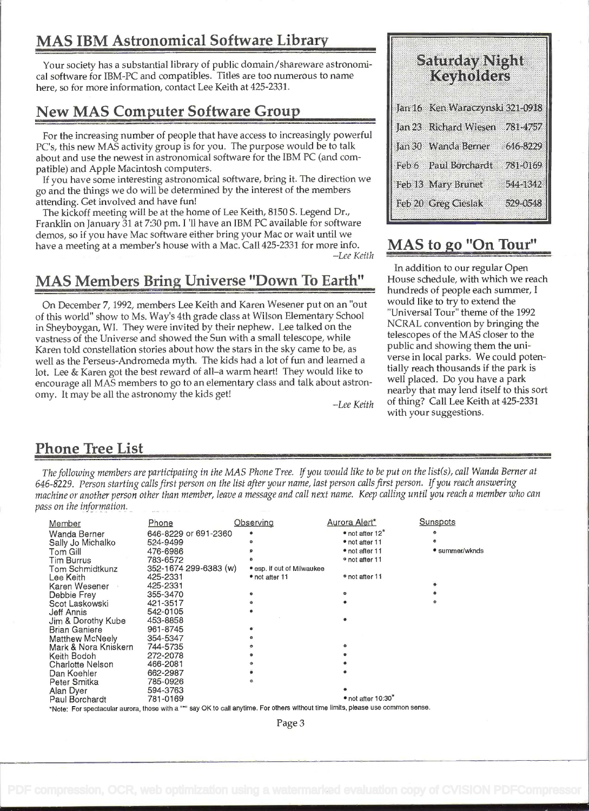### MAS IBM Astronomical Software Library

Your society has a substantial library of public domain/shareware astronomical software for IBM-PC and compatibles. Titles are too numerous to name here, so for more information, contact Lee Keith at 425-2331.

#### New MAS Computer Software Group

For the increasing number of people that have access to increasingly powerful PC's, this new MAS activity group is for you. The purpose would be to talk about and use the newest in astronomical software for the IBM PC (and compatible) and Apple Macintosh computers.

If you have some interesting astronomical software, bring it. The direction we go and the things we do will be determined by the interest of the members attending. Get involved and have fun!

The kickoff meeting will be at the home of Lee Keith, 8150 S. Legend Dr., Franklin on January 31 at 7:30 pm. I 'll have an IBM PC available for software demos, so if you have Mac software either bring your Mac or wait until we have a meeting at a member's house with a Mac. Call 425-2331 for more info. -Lee Keith

### MAS Members Brine Universe "Down To Earth"

on December 7, 1992, members Lee Keith and Karen Wesener put on an "out of this world" show to Ms. Way's 4th grade class at Wilson Elementary School in Sheyboygan, WI. They were invited by their nephew. Lee talked on the vastness of the Universe and showed the Sun with a small telescope, while Karen told constellation stories about how the stars in the sky came to be, as well as the Perseus-Andromeda myth. The kids had a lot of fun and learned a lot. Lee & Karen got the best reward of all-a warm heart! They would like to encourage all MAS members to go to an elementary class and talk about astronomy. It may be all the astronomy the kids get!

-Lee Keith

| Saturday Night<br>Keyholders      |          |
|-----------------------------------|----------|
| Jan 16 Ken Waraczynski 321-0918   |          |
| Jan 23 Richard Wiesen             | 781-4757 |
| Jan 30 Wanda Berner               | 646-8229 |
| Feb 6 Paul Borchardt              | 781-0169 |
| Feb 13 Mary Brunet                | 544-1342 |
| Feb 20 Greg Ciesla <mark>k</mark> | 529-0548 |
|                                   |          |

#### MAS to go "On Tour"

In addition to our regular Open House schedule, with which we reach hundreds of people each summer, <sup>I</sup> would like to try to extend the "Universal Tour" theme of the 1992 NCRAL convention by bringing the telescopes of the MAS closer to the public and showing them the universe in local parks. We could potentially reach thousands if the park is well placed. Do you have a park nearby that may lend itself to this sort of thing? Call Lee Keith at 425-2331 with your suggestions.

#### Phone Tree List

The following members are participating in the MAS Phone Tree. If you would like to be put on the list(s), call Wanda Berner at 646-8229. Person starting calls first person on the list after your name, last person calls first person. If you reach answering machine or another person other than member, leave a message and call next name. Keep calling until you reach a member who can pass on the information.

| Member                  | Phone                 | Observing                  | Aurora Alert*                       | Sunspots       |
|-------------------------|-----------------------|----------------------------|-------------------------------------|----------------|
| Wanda Berner            | 646-8229 or 691-2360  |                            | $\bullet$ not after 12 $\degree$    |                |
| Sally Jo Michalko       | 524-9499              |                            | • not after 11                      |                |
| Tom Gill                | 476-6986              |                            | • not after 11                      | • summer/wknds |
| <b>Tim Burrus</b>       | 783-6572              | ٠                          | <sup>o</sup> not after 11           |                |
| Tom Schmidtkunz         | 352-1674 299-6383 (w) | • esp. if out of Milwaukee |                                     |                |
| Lee Keith               | 425-2331              | • not after 11             | • not after 11                      |                |
| Karen Wesener           | 425-2331              |                            |                                     |                |
| Debbie Frey             | 355-3470              |                            |                                     |                |
| Scot Laskowski          | 421-3517              |                            |                                     |                |
| Jeff Annis              | 542-0105              |                            |                                     |                |
| Jim & Dorothy Kube      | 453-8858              |                            |                                     |                |
| <b>Brian Ganiere</b>    | 961-8745              |                            |                                     |                |
| Matthew McNeely         | 354-5347              |                            |                                     |                |
| Mark & Nora Kniskern    | 744-5735              |                            |                                     |                |
| Keith Bodoh             | 272-2078              |                            |                                     |                |
| <b>Charlotte Nelson</b> | 466-2081              |                            |                                     |                |
| Dan Koehler             | 662-2987              |                            |                                     |                |
| Peter Smitka            | 785-0926              |                            |                                     |                |
| Alan Dyer               | 594-3763              |                            |                                     |                |
| Paul Borchardt          | 781-0169              |                            | $\bullet$ not after 10:30 $\degree$ |                |

\*Note: For spectacular aurora, those with a "\*" say OK to call anytime. For others without time limits, please use common sense.